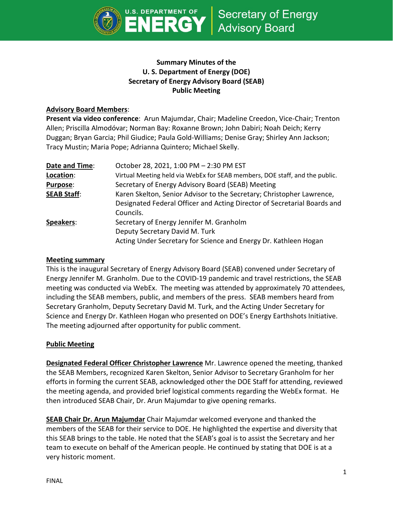

# **Summary Minutes of the U. S. Department of Energy (DOE) Secretary of Energy Advisory Board (SEAB) Public Meeting**

## **Advisory Board Members**:

**Present via video conference**: Arun Majumdar, Chair; Madeline Creedon, Vice-Chair; Trenton Allen; Priscilla Almodóvar; Norman Bay: Roxanne Brown; John Dabiri; Noah Deich; Kerry Duggan; Bryan Garcia; Phil Giudice; Paula Gold-Williams; Denise Gray; Shirley Ann Jackson; Tracy Mustin; Maria Pope; Adrianna Quintero; Michael Skelly.

| Date and Time:     | October 28, 2021, 1:00 PM - 2:30 PM EST                                     |
|--------------------|-----------------------------------------------------------------------------|
| Location:          | Virtual Meeting held via WebEx for SEAB members, DOE staff, and the public. |
| <b>Purpose:</b>    | Secretary of Energy Advisory Board (SEAB) Meeting                           |
| <b>SEAB Staff:</b> | Karen Skelton, Senior Advisor to the Secretary; Christopher Lawrence,       |
|                    | Designated Federal Officer and Acting Director of Secretarial Boards and    |
|                    | Councils.                                                                   |
| Speakers:          | Secretary of Energy Jennifer M. Granholm                                    |
|                    | Deputy Secretary David M. Turk                                              |
|                    | Acting Under Secretary for Science and Energy Dr. Kathleen Hogan            |

## **Meeting summary**

This is the inaugural Secretary of Energy Advisory Board (SEAB) convened under Secretary of Energy Jennifer M. Granholm. Due to the COVID-19 pandemic and travel restrictions, the SEAB meeting was conducted via WebEx. The meeting was attended by approximately 70 attendees, including the SEAB members, public, and members of the press. SEAB members heard from Secretary Granholm, Deputy Secretary David M. Turk, and the Acting Under Secretary for Science and Energy Dr. Kathleen Hogan who presented on DOE's Energy Earthshots Initiative. The meeting adjourned after opportunity for public comment.

## **Public Meeting**

**Designated Federal Officer Christopher Lawrence** Mr. Lawrence opened the meeting, thanked the SEAB Members, recognized Karen Skelton, Senior Advisor to Secretary Granholm for her efforts in forming the current SEAB, acknowledged other the DOE Staff for attending, reviewed the meeting agenda, and provided brief logistical comments regarding the WebEx format. He then introduced SEAB Chair, Dr. Arun Majumdar to give opening remarks.

**SEAB Chair Dr. Arun Majumdar** Chair Majumdar welcomed everyone and thanked the members of the SEAB for their service to DOE. He highlighted the expertise and diversity that this SEAB brings to the table. He noted that the SEAB's goal is to assist the Secretary and her team to execute on behalf of the American people. He continued by stating that DOE is at a very historic moment.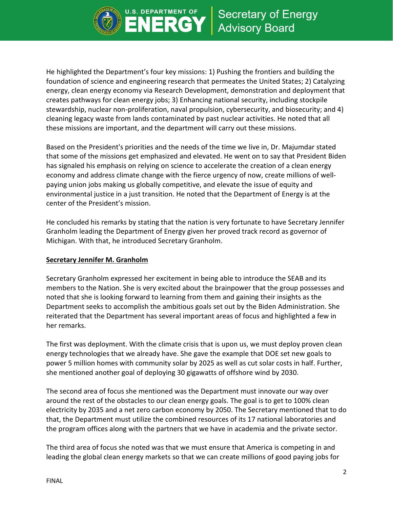

He highlighted the Department's four key missions: 1) Pushing the frontiers and building the foundation of science and engineering research that permeates the United States; 2) Catalyzing energy, clean energy economy via Research Development, demonstration and deployment that creates pathways for clean energy jobs; 3) Enhancing national security, including stockpile stewardship, nuclear non-proliferation, naval propulsion, cybersecurity, and biosecurity; and 4) cleaning legacy waste from lands contaminated by past nuclear activities. He noted that all these missions are important, and the department will carry out these missions.

ERG

Based on the President's priorities and the needs of the time we live in, Dr. Majumdar stated that some of the missions get emphasized and elevated. He went on to say that President Biden has signaled his emphasis on relying on science to accelerate the creation of a clean energy economy and address climate change with the fierce urgency of now, create millions of wellpaying union jobs making us globally competitive, and elevate the issue of equity and environmental justice in a just transition. He noted that the Department of Energy is at the center of the President's mission.

He concluded his remarks by stating that the nation is very fortunate to have Secretary Jennifer Granholm leading the Department of Energy given her proved track record as governor of Michigan. With that, he introduced Secretary Granholm.

#### **Secretary Jennifer M. Granholm**

Secretary Granholm expressed her excitement in being able to introduce the SEAB and its members to the Nation. She is very excited about the brainpower that the group possesses and noted that she is looking forward to learning from them and gaining their insights as the Department seeks to accomplish the ambitious goals set out by the Biden Administration. She reiterated that the Department has several important areas of focus and highlighted a few in her remarks.

The first was deployment. With the climate crisis that is upon us, we must deploy proven clean energy technologies that we already have. She gave the example that DOE set new goals to power 5 million homes with community solar by 2025 as well as cut solar costs in half. Further, she mentioned another goal of deploying 30 gigawatts of offshore wind by 2030.

The second area of focus she mentioned was the Department must innovate our way over around the rest of the obstacles to our clean energy goals. The goal is to get to 100% clean electricity by 2035 and a net zero carbon economy by 2050. The Secretary mentioned that to do that, the Department must utilize the combined resources of its 17 national laboratories and the program offices along with the partners that we have in academia and the private sector.

The third area of focus she noted was that we must ensure that America is competing in and leading the global clean energy markets so that we can create millions of good paying jobs for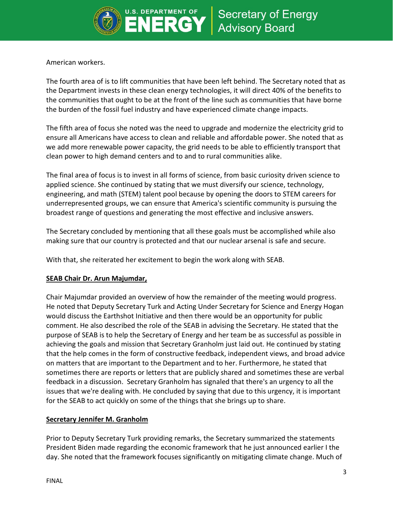

American workers.

The fourth area of is to lift communities that have been left behind. The Secretary noted that as the Department invests in these clean energy technologies, it will direct 40% of the benefits to the communities that ought to be at the front of the line such as communities that have borne the burden of the fossil fuel industry and have experienced climate change impacts.

The fifth area of focus she noted was the need to upgrade and modernize the electricity grid to ensure all Americans have access to clean and reliable and affordable power. She noted that as we add more renewable power capacity, the grid needs to be able to efficiently transport that clean power to high demand centers and to and to rural communities alike.

The final area of focus is to invest in all forms of science, from basic curiosity driven science to applied science. She continued by stating that we must diversify our science, technology, engineering, and math (STEM) talent pool because by opening the doors to STEM careers for underrepresented groups, we can ensure that America's scientific community is pursuing the broadest range of questions and generating the most effective and inclusive answers.

The Secretary concluded by mentioning that all these goals must be accomplished while also making sure that our country is protected and that our nuclear arsenal is safe and secure.

With that, she reiterated her excitement to begin the work along with SEAB.

## **SEAB Chair Dr. Arun Majumdar,**

Chair Majumdar provided an overview of how the remainder of the meeting would progress. He noted that Deputy Secretary Turk and Acting Under Secretary for Science and Energy Hogan would discuss the Earthshot Initiative and then there would be an opportunity for public comment. He also described the role of the SEAB in advising the Secretary. He stated that the purpose of SEAB is to help the Secretary of Energy and her team be as successful as possible in achieving the goals and mission that Secretary Granholm just laid out. He continued by stating that the help comes in the form of constructive feedback, independent views, and broad advice on matters that are important to the Department and to her. Furthermore, he stated that sometimes there are reports or letters that are publicly shared and sometimes these are verbal feedback in a discussion. Secretary Granholm has signaled that there's an urgency to all the issues that we're dealing with. He concluded by saying that due to this urgency, it is important for the SEAB to act quickly on some of the things that she brings up to share.

## **Secretary Jennifer M. Granholm**

Prior to Deputy Secretary Turk providing remarks, the Secretary summarized the statements President Biden made regarding the economic framework that he just announced earlier I the day. She noted that the framework focuses significantly on mitigating climate change. Much of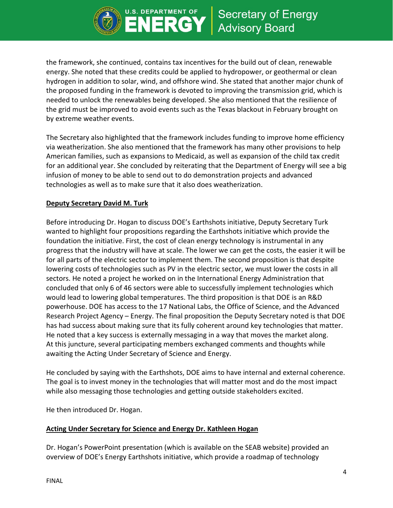

the framework, she continued, contains tax incentives for the build out of clean, renewable energy. She noted that these credits could be applied to hydropower, or geothermal or clean hydrogen in addition to solar, wind, and offshore wind. She stated that another major chunk of the proposed funding in the framework is devoted to improving the transmission grid, which is needed to unlock the renewables being developed. She also mentioned that the resilience of the grid must be improved to avoid events such as the Texas blackout in February brought on by extreme weather events.

**DEPARTMENT OF** 

**ERG** 

The Secretary also highlighted that the framework includes funding to improve home efficiency via weatherization. She also mentioned that the framework has many other provisions to help American families, such as expansions to Medicaid, as well as expansion of the child tax credit for an additional year. She concluded by reiterating that the Department of Energy will see a big infusion of money to be able to send out to do demonstration projects and advanced technologies as well as to make sure that it also does weatherization.

#### **Deputy Secretary David M. Turk**

Before introducing Dr. Hogan to discuss DOE's Earthshots initiative, Deputy Secretary Turk wanted to highlight four propositions regarding the Earthshots initiative which provide the foundation the initiative. First, the cost of clean energy technology is instrumental in any progress that the industry will have at scale. The lower we can get the costs, the easier it will be for all parts of the electric sector to implement them. The second proposition is that despite lowering costs of technologies such as PV in the electric sector, we must lower the costs in all sectors. He noted a project he worked on in the International Energy Administration that concluded that only 6 of 46 sectors were able to successfully implement technologies which would lead to lowering global temperatures. The third proposition is that DOE is an R&D powerhouse. DOE has access to the 17 National Labs, the Office of Science, and the Advanced Research Project Agency – Energy. The final proposition the Deputy Secretary noted is that DOE has had success about making sure that its fully coherent around key technologies that matter. He noted that a key success is externally messaging in a way that moves the market along. At this juncture, several participating members exchanged comments and thoughts while awaiting the Acting Under Secretary of Science and Energy.

He concluded by saying with the Earthshots, DOE aims to have internal and external coherence. The goal is to invest money in the technologies that will matter most and do the most impact while also messaging those technologies and getting outside stakeholders excited.

He then introduced Dr. Hogan.

## **Acting Under Secretary for Science and Energy Dr. Kathleen Hogan**

Dr. Hogan's PowerPoint presentation (which is available on the SEAB website) provided an overview of DOE's Energy Earthshots initiative, which provide a roadmap of technology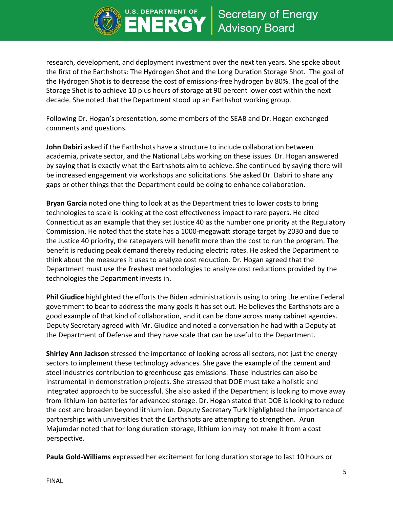

research, development, and deployment investment over the next ten years. She spoke about the first of the Earthshots: The Hydrogen Shot and the Long Duration Storage Shot. The goal of the Hydrogen Shot is to decrease the cost of emissions-free hydrogen by 80%. The goal of the Storage Shot is to achieve 10 plus hours of storage at 90 percent lower cost within the next decade. She noted that the Department stood up an Earthshot working group.

**DEPARTMENT OF** 

ERG

Following Dr. Hogan's presentation, some members of the SEAB and Dr. Hogan exchanged comments and questions.

**John Dabiri** asked if the Earthshots have a structure to include collaboration between academia, private sector, and the National Labs working on these issues. Dr. Hogan answered by saying that is exactly what the Earthshots aim to achieve. She continued by saying there will be increased engagement via workshops and solicitations. She asked Dr. Dabiri to share any gaps or other things that the Department could be doing to enhance collaboration.

**Bryan Garcia** noted one thing to look at as the Department tries to lower costs to bring technologies to scale is looking at the cost effectiveness impact to rare payers. He cited Connecticut as an example that they set Justice 40 as the number one priority at the Regulatory Commission. He noted that the state has a 1000-megawatt storage target by 2030 and due to the Justice 40 priority, the ratepayers will benefit more than the cost to run the program. The benefit is reducing peak demand thereby reducing electric rates. He asked the Department to think about the measures it uses to analyze cost reduction. Dr. Hogan agreed that the Department must use the freshest methodologies to analyze cost reductions provided by the technologies the Department invests in.

**Phil Giudice** highlighted the efforts the Biden administration is using to bring the entire Federal government to bear to address the many goals it has set out. He believes the Earthshots are a good example of that kind of collaboration, and it can be done across many cabinet agencies. Deputy Secretary agreed with Mr. Giudice and noted a conversation he had with a Deputy at the Department of Defense and they have scale that can be useful to the Department.

**Shirley Ann Jackson** stressed the importance of looking across all sectors, not just the energy sectors to implement these technology advances. She gave the example of the cement and steel industries contribution to greenhouse gas emissions. Those industries can also be instrumental in demonstration projects. She stressed that DOE must take a holistic and integrated approach to be successful. She also asked if the Department is looking to move away from lithium-ion batteries for advanced storage. Dr. Hogan stated that DOE is looking to reduce the cost and broaden beyond lithium ion. Deputy Secretary Turk highlighted the importance of partnerships with universities that the Earthshots are attempting to strengthen. Arun Majumdar noted that for long duration storage, lithium ion may not make it from a cost perspective.

**Paula Gold-Williams** expressed her excitement for long duration storage to last 10 hours or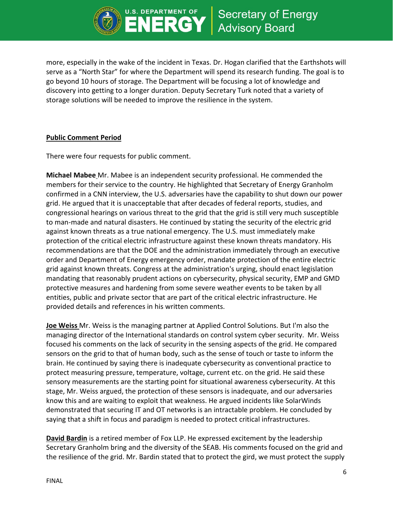

more, especially in the wake of the incident in Texas. Dr. Hogan clarified that the Earthshots will serve as a "North Star" for where the Department will spend its research funding. The goal is to go beyond 10 hours of storage. The Department will be focusing a lot of knowledge and discovery into getting to a longer duration. Deputy Secretary Turk noted that a variety of storage solutions will be needed to improve the resilience in the system.

ERG

## **Public Comment Period**

There were four requests for public comment.

**Michael Mabee** Mr. Mabee is an independent security professional. He commended the members for their service to the country. He highlighted that Secretary of Energy Granholm confirmed in a CNN interview, the U.S. adversaries have the capability to shut down our power grid. He argued that it is unacceptable that after decades of federal reports, studies, and congressional hearings on various threat to the grid that the grid is still very much susceptible to man-made and natural disasters. He continued by stating the security of the electric grid against known threats as a true national emergency. The U.S. must immediately make protection of the critical electric infrastructure against these known threats mandatory. His recommendations are that the DOE and the administration immediately through an executive order and Department of Energy emergency order, mandate protection of the entire electric grid against known threats. Congress at the administration's urging, should enact legislation mandating that reasonably prudent actions on cybersecurity, physical security, EMP and GMD protective measures and hardening from some severe weather events to be taken by all entities, public and private sector that are part of the critical electric infrastructure. He provided details and references in his written comments.

**Joe Weiss** Mr. Weiss is the managing partner at Applied Control Solutions. But I'm also the managing director of the International standards on control system cyber security. Mr. Weiss focused his comments on the lack of security in the sensing aspects of the grid. He compared sensors on the grid to that of human body, such as the sense of touch or taste to inform the brain. He continued by saying there is inadequate cybersecurity as conventional practice to protect measuring pressure, temperature, voltage, current etc. on the grid. He said these sensory measurements are the starting point for situational awareness cybersecurity. At this stage, Mr. Weiss argued, the protection of these sensors is inadequate, and our adversaries know this and are waiting to exploit that weakness. He argued incidents like SolarWinds demonstrated that securing IT and OT networks is an intractable problem. He concluded by saying that a shift in focus and paradigm is needed to protect critical infrastructures.

**David Bardin** is a retired member of Fox LLP. He expressed excitement by the leadership Secretary Granholm bring and the diversity of the SEAB. His comments focused on the grid and the resilience of the grid. Mr. Bardin stated that to protect the gird, we must protect the supply